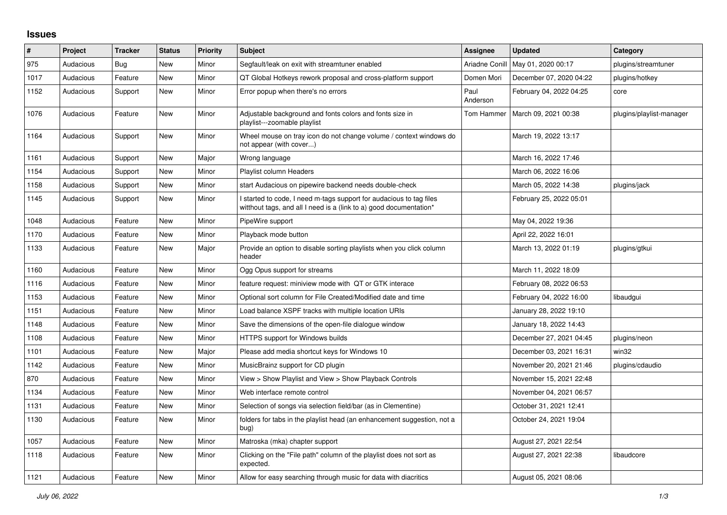## **Issues**

| #    | Project   | <b>Tracker</b> | <b>Status</b> | <b>Priority</b> | <b>Subject</b>                                                                                                                            | <b>Assignee</b>  | <b>Updated</b>          | Category                 |
|------|-----------|----------------|---------------|-----------------|-------------------------------------------------------------------------------------------------------------------------------------------|------------------|-------------------------|--------------------------|
| 975  | Audacious | Bug            | New           | Minor           | Segfault/leak on exit with streamtuner enabled                                                                                            | Ariadne Conill   | May 01, 2020 00:17      | plugins/streamtuner      |
| 1017 | Audacious | Feature        | New           | Minor           | QT Global Hotkeys rework proposal and cross-platform support                                                                              | Domen Mori       | December 07, 2020 04:22 | plugins/hotkey           |
| 1152 | Audacious | Support        | New           | Minor           | Error popup when there's no errors                                                                                                        | Paul<br>Anderson | February 04, 2022 04:25 | core                     |
| 1076 | Audacious | Feature        | <b>New</b>    | Minor           | Adjustable background and fonts colors and fonts size in<br>playlist---zoomable playlist                                                  | Tom Hammer       | March 09, 2021 00:38    | plugins/playlist-manager |
| 1164 | Audacious | Support        | <b>New</b>    | Minor           | Wheel mouse on tray icon do not change volume / context windows do<br>not appear (with cover)                                             |                  | March 19, 2022 13:17    |                          |
| 1161 | Audacious | Support        | <b>New</b>    | Major           | Wrong language                                                                                                                            |                  | March 16, 2022 17:46    |                          |
| 1154 | Audacious | Support        | New           | Minor           | Playlist column Headers                                                                                                                   |                  | March 06, 2022 16:06    |                          |
| 1158 | Audacious | Support        | New           | Minor           | start Audacious on pipewire backend needs double-check                                                                                    |                  | March 05, 2022 14:38    | plugins/jack             |
| 1145 | Audacious | Support        | New           | Minor           | I started to code, I need m-tags support for audacious to tag files<br>witthout tags, and all I need is a (link to a) good documentation* |                  | February 25, 2022 05:01 |                          |
| 1048 | Audacious | Feature        | New           | Minor           | PipeWire support                                                                                                                          |                  | May 04, 2022 19:36      |                          |
| 1170 | Audacious | Feature        | New           | Minor           | Playback mode button                                                                                                                      |                  | April 22, 2022 16:01    |                          |
| 1133 | Audacious | Feature        | <b>New</b>    | Major           | Provide an option to disable sorting playlists when you click column<br>header                                                            |                  | March 13, 2022 01:19    | plugins/gtkui            |
| 1160 | Audacious | Feature        | <b>New</b>    | Minor           | Ogg Opus support for streams                                                                                                              |                  | March 11, 2022 18:09    |                          |
| 1116 | Audacious | Feature        | New           | Minor           | feature request: miniview mode with QT or GTK interace                                                                                    |                  | February 08, 2022 06:53 |                          |
| 1153 | Audacious | Feature        | New           | Minor           | Optional sort column for File Created/Modified date and time                                                                              |                  | February 04, 2022 16:00 | libaudgui                |
| 1151 | Audacious | Feature        | New           | Minor           | Load balance XSPF tracks with multiple location URIs                                                                                      |                  | January 28, 2022 19:10  |                          |
| 1148 | Audacious | Feature        | New           | Minor           | Save the dimensions of the open-file dialogue window                                                                                      |                  | January 18, 2022 14:43  |                          |
| 1108 | Audacious | Feature        | <b>New</b>    | Minor           | HTTPS support for Windows builds                                                                                                          |                  | December 27, 2021 04:45 | plugins/neon             |
| 1101 | Audacious | Feature        | <b>New</b>    | Major           | Please add media shortcut keys for Windows 10                                                                                             |                  | December 03, 2021 16:31 | win32                    |
| 1142 | Audacious | Feature        | <b>New</b>    | Minor           | MusicBrainz support for CD plugin                                                                                                         |                  | November 20, 2021 21:46 | plugins/cdaudio          |
| 870  | Audacious | Feature        | New           | Minor           | View > Show Playlist and View > Show Playback Controls                                                                                    |                  | November 15, 2021 22:48 |                          |
| 1134 | Audacious | Feature        | <b>New</b>    | Minor           | Web interface remote control                                                                                                              |                  | November 04, 2021 06:57 |                          |
| 1131 | Audacious | Feature        | New           | Minor           | Selection of songs via selection field/bar (as in Clementine)                                                                             |                  | October 31, 2021 12:41  |                          |
| 1130 | Audacious | Feature        | New           | Minor           | folders for tabs in the playlist head (an enhancement suggestion, not a<br>bug)                                                           |                  | October 24, 2021 19:04  |                          |
| 1057 | Audacious | Feature        | New           | Minor           | Matroska (mka) chapter support                                                                                                            |                  | August 27, 2021 22:54   |                          |
| 1118 | Audacious | Feature        | New           | Minor           | Clicking on the "File path" column of the playlist does not sort as<br>expected.                                                          |                  | August 27, 2021 22:38   | libaudcore               |
| 1121 | Audacious | Feature        | <b>New</b>    | Minor           | Allow for easy searching through music for data with diacritics                                                                           |                  | August 05, 2021 08:06   |                          |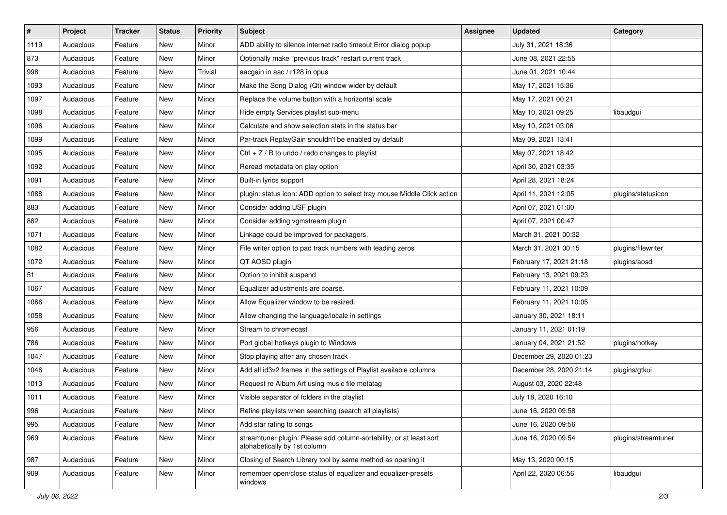| $\vert$ # | Project   | <b>Tracker</b> | <b>Status</b> | <b>Priority</b> | <b>Subject</b>                                                                                      | <b>Assignee</b> | <b>Updated</b>          | Category            |
|-----------|-----------|----------------|---------------|-----------------|-----------------------------------------------------------------------------------------------------|-----------------|-------------------------|---------------------|
| 1119      | Audacious | Feature        | New           | Minor           | ADD ability to silence internet radio timeout Error dialog popup                                    |                 | July 31, 2021 18:36     |                     |
| 873       | Audacious | Feature        | <b>New</b>    | Minor           | Optionally make "previous track" restart current track                                              |                 | June 08, 2021 22:55     |                     |
| 998       | Audacious | Feature        | New           | Trivial         | aacgain in aac / r128 in opus                                                                       |                 | June 01, 2021 10:44     |                     |
| 1093      | Audacious | Feature        | New           | Minor           | Make the Song Dialog (Qt) window wider by default                                                   |                 | May 17, 2021 15:36      |                     |
| 1097      | Audacious | Feature        | New           | Minor           | Replace the volume button with a horizontal scale                                                   |                 | May 17, 2021 00:21      |                     |
| 1098      | Audacious | Feature        | New           | Minor           | Hide empty Services playlist sub-menu                                                               |                 | May 10, 2021 09:25      | libaudgui           |
| 1096      | Audacious | Feature        | New           | Minor           | Calculate and show selection stats in the status bar                                                |                 | May 10, 2021 03:06      |                     |
| 1099      | Audacious | Feature        | New           | Minor           | Per-track ReplayGain shouldn't be enabled by default                                                |                 | May 09, 2021 13:41      |                     |
| 1095      | Audacious | Feature        | New           | Minor           | Ctrl + $Z$ / R to undo / redo changes to playlist                                                   |                 | May 07, 2021 18:42      |                     |
| 1092      | Audacious | Feature        | <b>New</b>    | Minor           | Reread metadata on play option                                                                      |                 | April 30, 2021 03:35    |                     |
| 1091      | Audacious | Feature        | New           | Minor           | Built-in lyrics support                                                                             |                 | April 28, 2021 18:24    |                     |
| 1088      | Audacious | Feature        | New           | Minor           | plugin: status icon: ADD option to select tray mouse Middle Click action                            |                 | April 11, 2021 12:05    | plugins/statusicon  |
| 883       | Audacious | Feature        | New           | Minor           | Consider adding USF plugin                                                                          |                 | April 07, 2021 01:00    |                     |
| 882       | Audacious | Feature        | New           | Minor           | Consider adding vgmstream plugin                                                                    |                 | April 07, 2021 00:47    |                     |
| 1071      | Audacious | Feature        | New           | Minor           | Linkage could be improved for packagers.                                                            |                 | March 31, 2021 00:32    |                     |
| 1082      | Audacious | Feature        | New           | Minor           | File writer option to pad track numbers with leading zeros                                          |                 | March 31, 2021 00:15    | plugins/filewriter  |
| 1072      | Audacious | Feature        | New           | Minor           | QT AOSD plugin                                                                                      |                 | February 17, 2021 21:18 | plugins/aosd        |
| 51        | Audacious | Feature        | New           | Minor           | Option to inhibit suspend                                                                           |                 | February 13, 2021 09:23 |                     |
| 1067      | Audacious | Feature        | New           | Minor           | Equalizer adjustments are coarse.                                                                   |                 | February 11, 2021 10:09 |                     |
| 1066      | Audacious | Feature        | New           | Minor           | Allow Equalizer window to be resized.                                                               |                 | February 11, 2021 10:05 |                     |
| 1058      | Audacious | Feature        | New           | Minor           | Allow changing the language/locale in settings                                                      |                 | January 30, 2021 18:11  |                     |
| 956       | Audacious | Feature        | New           | Minor           | Stream to chromecast                                                                                |                 | January 11, 2021 01:19  |                     |
| 786       | Audacious | Feature        | <b>New</b>    | Minor           | Port global hotkeys plugin to Windows                                                               |                 | January 04, 2021 21:52  | plugins/hotkey      |
| 1047      | Audacious | Feature        | New           | Minor           | Stop playing after any chosen track                                                                 |                 | December 29, 2020 01:23 |                     |
| 1046      | Audacious | Feature        | New           | Minor           | Add all id3v2 frames in the settings of Playlist available columns                                  |                 | December 28, 2020 21:14 | plugins/gtkui       |
| 1013      | Audacious | Feature        | New           | Minor           | Request re Album Art using music file metatag                                                       |                 | August 03, 2020 22:48   |                     |
| 1011      | Audacious | Feature        | New           | Minor           | Visible separator of folders in the playlist                                                        |                 | July 18, 2020 16:10     |                     |
| 996       | Audacious | Feature        | New           | Minor           | Refine playlists when searching (search all playlists)                                              |                 | June 16, 2020 09:58     |                     |
| 995       | Audacious | Feature        | New           | Minor           | Add star rating to songs                                                                            |                 | June 16, 2020 09:56     |                     |
| 969       | Audacious | Feature        | New           | Minor           | streamtuner plugin: Please add column-sortability, or at least sort<br>alphabetically by 1st column |                 | June 16, 2020 09:54     | plugins/streamtuner |
| 987       | Audacious | Feature        | New           | Minor           | Closing of Search Library tool by same method as opening it                                         |                 | May 13, 2020 00:15      |                     |
| 909       | Audacious | Feature        | New           | Minor           | remember open/close status of equalizer and equalizer-presets<br>windows                            |                 | April 22, 2020 06:56    | libaudgui           |